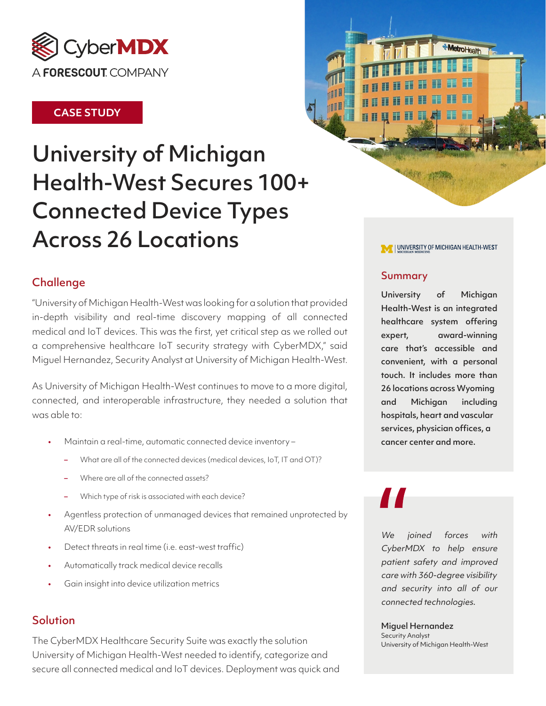

### **CASE STUDY**

# University of Michigan Health-West Secures 100+ Connected Device Types Across 26 Locations



\*MetroHealth

# Challenge

"University of Michigan Health-West was looking for a solution that provided in-depth visibility and real-time discovery mapping of all connected medical and IoT devices. This was the first, yet critical step as we rolled out a comprehensive healthcare IoT security strategy with CyberMDX," said Miguel Hernandez, Security Analyst at University of Michigan Health-West.

As University of Michigan Health-West continues to move to a more digital, connected, and interoperable infrastructure, they needed a solution that was able to:

- Maintain a real-time, automatic connected device inventory
	- What are all of the connected devices (medical devices, IoT, IT and OT)?
	- Where are all of the connected assets?
	- Which type of risk is associated with each device?
- Agentless protection of unmanaged devices that remained unprotected by AV/EDR solutions
- Detect threats in real time (i.e. east-west traffic)
- Automatically track medical device recalls
- Gain insight into device utilization metrics

## **Solution**

The CyberMDX Healthcare Security Suite was exactly the solution University of Michigan Health-West needed to identify, categorize and secure all connected medical and IoT devices. Deployment was quick and

#### Summary

**AND REAL** 

**11065** 

University of Michigan Health-West is an integrated healthcare system offering expert, award-winning care that's accessible and convenient, with a personal touch. It includes more than 26 locations across Wyoming and Michigan including hospitals, heart and vascular services, physician offices, a cancer center and more.

We joined forces with CyberMDX to help ensure patient safety and improved care with 360-degree visibility and security into all of our connected technologies.

#### Miguel Hernandez

Security Analyst University of Michigan Health-West